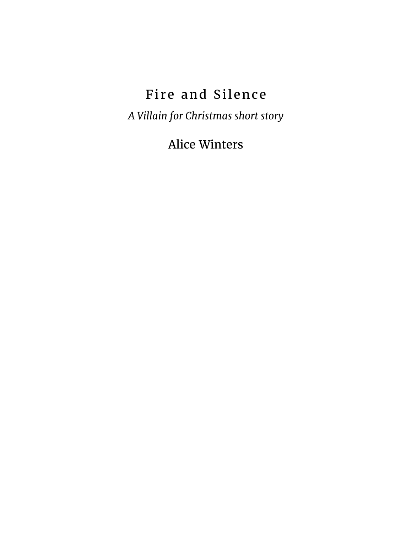## Fire and Silence

*A Villain for Christmas short story*

Alice Winters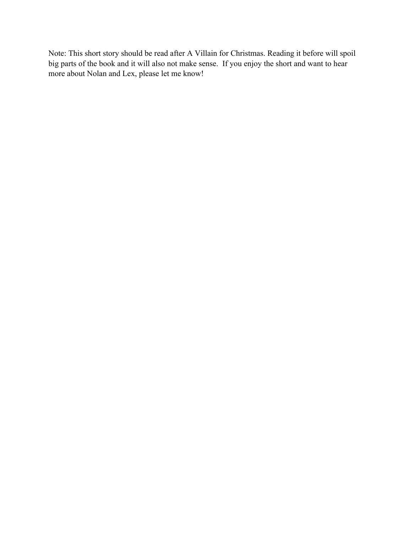Note: This short story should be read after A Villain for Christmas. Reading it before will spoil big parts of the book and it will also not make sense. If you enjoy the short and want to hear more about Nolan and Lex, please let me know!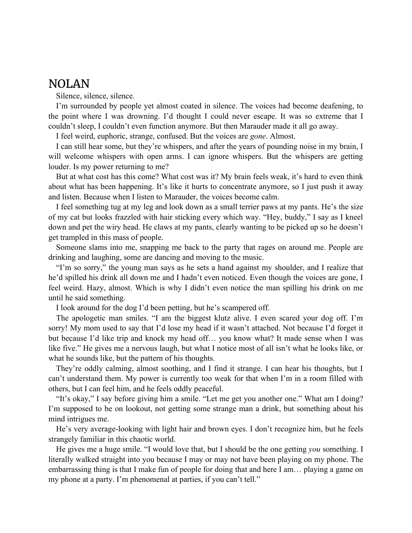## NOLAN

Silence, silence, silence.

I'm surrounded by people yet almost coated in silence. The voices had become deafening, to the point where I was drowning. I'd thought I could never escape. It was so extreme that I couldn't sleep, I couldn't even function anymore. But then Marauder made it all go away.

I feel weird, euphoric, strange, confused. But the voices are *gone*. Almost.

I can still hear some, but they're whispers, and after the years of pounding noise in my brain, I will welcome whispers with open arms. I can ignore whispers. But the whispers are getting louder. Is my power returning to me?

But at what cost has this come? What cost was it? My brain feels weak, it's hard to even think about what has been happening. It's like it hurts to concentrate anymore, so I just push it away and listen. Because when I listen to Marauder, the voices become calm.

I feel something tug at my leg and look down as a small terrier paws at my pants. He's the size of my cat but looks frazzled with hair sticking every which way. "Hey, buddy," I say as I kneel down and pet the wiry head. He claws at my pants, clearly wanting to be picked up so he doesn't get trampled in this mass of people.

Someone slams into me, snapping me back to the party that rages on around me. People are drinking and laughing, some are dancing and moving to the music.

"I'm so sorry," the young man says as he sets a hand against my shoulder, and I realize that he'd spilled his drink all down me and I hadn't even noticed. Even though the voices are gone, I feel weird. Hazy, almost. Which is why I didn't even notice the man spilling his drink on me until he said something.

I look around for the dog I'd been petting, but he's scampered off.

The apologetic man smiles. "I am the biggest klutz alive. I even scared your dog off. I'm sorry! My mom used to say that I'd lose my head if it wasn't attached. Not because I'd forget it but because I'd like trip and knock my head off… you know what? It made sense when I was like five." He gives me a nervous laugh, but what I notice most of all isn't what he looks like, or what he sounds like, but the pattern of his thoughts.

They're oddly calming, almost soothing, and I find it strange. I can hear his thoughts, but I can't understand them. My power is currently too weak for that when I'm in a room filled with others, but I can feel him, and he feels oddly peaceful.

"It's okay," I say before giving him a smile. "Let me get you another one." What am I doing? I'm supposed to be on lookout, not getting some strange man a drink, but something about his mind intrigues me.

He's very average-looking with light hair and brown eyes. I don't recognize him, but he feels strangely familiar in this chaotic world.

He gives me a huge smile. "I would love that, but I should be the one getting *you* something. I literally walked straight into you because I may or may not have been playing on my phone. The embarrassing thing is that I make fun of people for doing that and here I am… playing a game on my phone at a party. I'm phenomenal at parties, if you can't tell."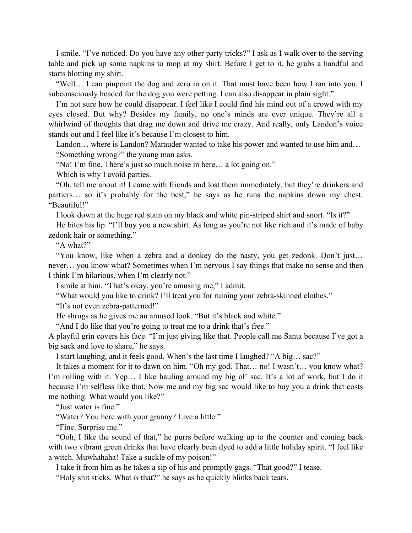I smile. "I've noticed. Do you have any other party tricks?" I ask as I walk over to the serving table and pick up some napkins to mop at my shirt. Before I get to it, he grabs a handful and starts blotting my shirt.

"Well… I can pinpoint the dog and zero in on it. That must have been how I ran into you. I subconsciously headed for the dog you were petting. I can also disappear in plain sight."

I'm not sure how he could disappear. I feel like I could find his mind out of a crowd with my eyes closed. But why? Besides my family, no one's minds are ever unique. They're all a whirlwind of thoughts that drag me down and drive me crazy. And really, only Landon's voice stands out and I feel like it's because I'm closest to him.

Landon… where is Landon? Marauder wanted to take his power and wanted to use him and… "Something wrong?" the young man asks.

"No! I'm fine. There's just so much noise in here… a lot going on."

Which is why I avoid parties.

"Oh, tell me about it! I came with friends and lost them immediately, but they're drinkers and partiers… so it's probably for the best," he says as he runs the napkins down my chest. "Beautiful!"

I look down at the huge red stain on my black and white pin-striped shirt and snort. "Is it?"

He bites his lip. "I'll buy you a new shirt. As long as you're not like rich and it's made of baby zedonk hair or something."

"A what?"

"You know, like when a zebra and a donkey do the nasty, you get zedonk. Don't just… never… you know what? Sometimes when I'm nervous I say things that make no sense and then I think I'm hilarious, when I'm clearly not."

I smile at him. "That's okay, you're amusing me," I admit.

"What would you like to drink? I'll treat you for ruining your zebra-skinned clothes."

"It's not even zebra-patterned!"

He shrugs as he gives me an amused look. "But it's black and white."

"And I do like that you're going to treat me to a drink that's free."

A playful grin covers his face. "I'm just giving like that. People call me Santa because I've got a big sack and love to share," he says.

I start laughing, and it feels good. When's the last time I laughed? "A big… sac?"

It takes a moment for it to dawn on him. "Oh my god. That… no! I wasn't… you know what? I'm rolling with it. Yep… I like hauling around my big ol' sac. It's a lot of work, but I do it because I'm selfless like that. Now me and my big sac would like to buy you a drink that costs me nothing. What would you like?"

"Just water is fine."

"Water? You here with your granny? Live a little."

"Fine. Surprise me."

"Ooh, I like the sound of that," he purrs before walking up to the counter and coming back with two vibrant green drinks that have clearly been dyed to add a little holiday spirit. "I feel like a witch. Muwhahaha! Take a suckle of my poison!"

I take it from him as he takes a sip of his and promptly gags. "That good?" I tease.

"Holy shit sticks. What *is* that?" he says as he quickly blinks back tears.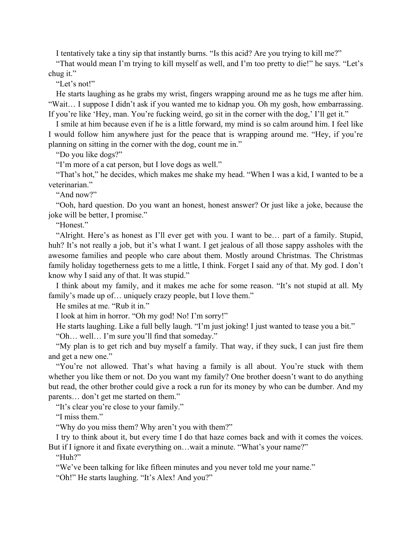I tentatively take a tiny sip that instantly burns. "Is this acid? Are you trying to kill me?"

"That would mean I'm trying to kill myself as well, and I'm too pretty to die!" he says. "Let's chug it."

"Let's not!"

He starts laughing as he grabs my wrist, fingers wrapping around me as he tugs me after him. "Wait… I suppose I didn't ask if you wanted me to kidnap you. Oh my gosh, how embarrassing. If you're like 'Hey, man. You're fucking weird, go sit in the corner with the dog,' I'll get it."

I smile at him because even if he is a little forward, my mind is so calm around him. I feel like I would follow him anywhere just for the peace that is wrapping around me. "Hey, if you're planning on sitting in the corner with the dog, count me in."

"Do you like dogs?"

"I'm more of a cat person, but I love dogs as well."

"That's hot," he decides, which makes me shake my head. "When I was a kid, I wanted to be a veterinarian."

"And now?"

"Ooh, hard question. Do you want an honest, honest answer? Or just like a joke, because the joke will be better, I promise."

"Honest."

"Alright. Here's as honest as I'll ever get with you. I want to be… part of a family. Stupid, huh? It's not really a job, but it's what I want. I get jealous of all those sappy assholes with the awesome families and people who care about them. Mostly around Christmas. The Christmas family holiday togetherness gets to me a little, I think. Forget I said any of that. My god. I don't know why I said any of that. It was stupid."

I think about my family, and it makes me ache for some reason. "It's not stupid at all. My family's made up of... uniquely crazy people, but I love them."

He smiles at me. "Rub it in."

I look at him in horror. "Oh my god! No! I'm sorry!"

He starts laughing. Like a full belly laugh. "I'm just joking! I just wanted to tease you a bit."

"Oh… well… I'm sure you'll find that someday."

"My plan is to get rich and buy myself a family. That way, if they suck, I can just fire them and get a new one."

"You're not allowed. That's what having a family is all about. You're stuck with them whether you like them or not. Do you want my family? One brother doesn't want to do anything but read, the other brother could give a rock a run for its money by who can be dumber. And my parents… don't get me started on them."

"It's clear you're close to your family."

"I miss them."

"Why do you miss them? Why aren't you with them?"

I try to think about it, but every time I do that haze comes back and with it comes the voices.

But if I ignore it and fixate everything on...wait a minute. "What's your name?"

"Huh?"

"We've been talking for like fifteen minutes and you never told me your name."

"Oh!" He starts laughing. "It's Alex! And you?"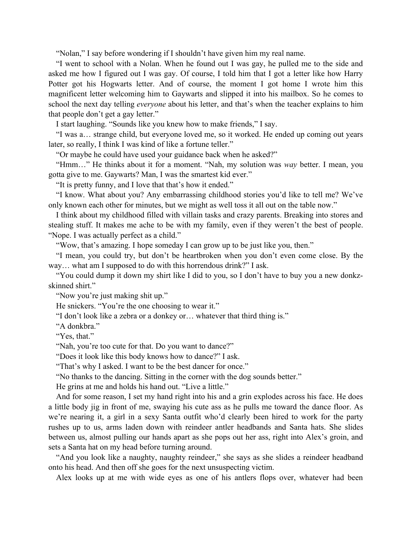"Nolan," I say before wondering if I shouldn't have given him my real name.

"I went to school with a Nolan. When he found out I was gay, he pulled me to the side and asked me how I figured out I was gay. Of course, I told him that I got a letter like how Harry Potter got his Hogwarts letter. And of course, the moment I got home I wrote him this magnificent letter welcoming him to Gaywarts and slipped it into his mailbox. So he comes to school the next day telling *everyone* about his letter, and that's when the teacher explains to him that people don't get a gay letter."

I start laughing. "Sounds like you knew how to make friends," I say.

"I was a… strange child, but everyone loved me, so it worked. He ended up coming out years later, so really, I think I was kind of like a fortune teller."

"Or maybe he could have used your guidance back when he asked?"

"Hmm…" He thinks about it for a moment. "Nah, my solution was *way* better. I mean, you gotta give to me. Gaywarts? Man, I was the smartest kid ever."

"It is pretty funny, and I love that that's how it ended."

"I know. What about you? Any embarrassing childhood stories you'd like to tell me? We've only known each other for minutes, but we might as well toss it all out on the table now."

I think about my childhood filled with villain tasks and crazy parents. Breaking into stores and stealing stuff. It makes me ache to be with my family, even if they weren't the best of people. "Nope. I was actually perfect as a child."

"Wow, that's amazing. I hope someday I can grow up to be just like you, then."

"I mean, you could try, but don't be heartbroken when you don't even come close. By the way… what am I supposed to do with this horrendous drink?" I ask.

"You could dump it down my shirt like I did to you, so I don't have to buy you a new donkzskinned shirt."

"Now you're just making shit up."

He snickers. "You're the one choosing to wear it."

"I don't look like a zebra or a donkey or… whatever that third thing is."

"A donkbra."

"Yes, that."

"Nah, you're too cute for that. Do you want to dance?"

"Does it look like this body knows how to dance?" I ask.

"That's why I asked. I want to be the best dancer for once."

"No thanks to the dancing. Sitting in the corner with the dog sounds better."

He grins at me and holds his hand out. "Live a little."

And for some reason, I set my hand right into his and a grin explodes across his face. He does a little body jig in front of me, swaying his cute ass as he pulls me toward the dance floor. As we're nearing it, a girl in a sexy Santa outfit who'd clearly been hired to work for the party rushes up to us, arms laden down with reindeer antler headbands and Santa hats. She slides between us, almost pulling our hands apart as she pops out her ass, right into Alex's groin, and sets a Santa hat on my head before turning around.

"And you look like a naughty, naughty reindeer," she says as she slides a reindeer headband onto his head. And then off she goes for the next unsuspecting victim.

Alex looks up at me with wide eyes as one of his antlers flops over, whatever had been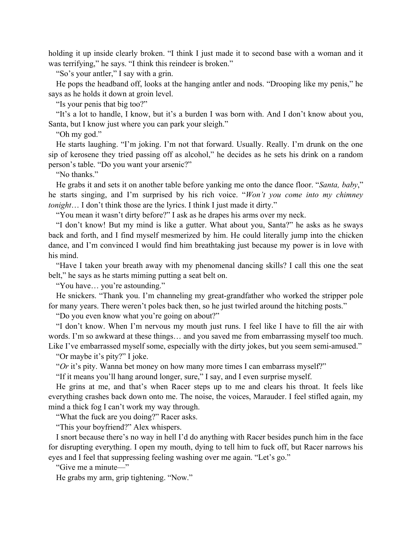holding it up inside clearly broken. "I think I just made it to second base with a woman and it was terrifying," he says. "I think this reindeer is broken."

"So's your antler," I say with a grin.

He pops the headband off, looks at the hanging antler and nods. "Drooping like my penis," he says as he holds it down at groin level.

"Is your penis that big too?"

"It's a lot to handle, I know, but it's a burden I was born with. And I don't know about you, Santa, but I know just where you can park your sleigh."

"Oh my god."

He starts laughing. "I'm joking. I'm not that forward. Usually. Really. I'm drunk on the one sip of kerosene they tried passing off as alcohol," he decides as he sets his drink on a random person's table. "Do you want your arsenic?"

"No thanks."

He grabs it and sets it on another table before yanking me onto the dance floor. "*Santa, baby*," he starts singing, and I'm surprised by his rich voice. "*Won't you come into my chimney tonight*… I don't think those are the lyrics. I think I just made it dirty."

"You mean it wasn't dirty before?" I ask as he drapes his arms over my neck.

"I don't know! But my mind is like a gutter. What about you, Santa?" he asks as he sways back and forth, and I find myself mesmerized by him. He could literally jump into the chicken dance, and I'm convinced I would find him breathtaking just because my power is in love with his mind.

"Have I taken your breath away with my phenomenal dancing skills? I call this one the seat belt," he says as he starts miming putting a seat belt on.

"You have… you're astounding."

He snickers. "Thank you. I'm channeling my great-grandfather who worked the stripper pole for many years. There weren't poles back then, so he just twirled around the hitching posts."

"Do you even know what you're going on about?"

"I don't know. When I'm nervous my mouth just runs. I feel like I have to fill the air with words. I'm so awkward at these things… and you saved me from embarrassing myself too much. Like I've embarrassed myself some, especially with the dirty jokes, but you seem semi-amused."

"Or maybe it's pity?" I joke.

"*Or* it's pity. Wanna bet money on how many more times I can embarrass myself?"

"If it means you'll hang around longer, sure," I say, and I even surprise myself.

He grins at me, and that's when Racer steps up to me and clears his throat. It feels like everything crashes back down onto me. The noise, the voices, Marauder. I feel stifled again, my mind a thick fog I can't work my way through.

"What the fuck are you doing?" Racer asks.

"This your boyfriend?" Alex whispers.

I snort because there's no way in hell I'd do anything with Racer besides punch him in the face for disrupting everything. I open my mouth, dying to tell him to fuck off, but Racer narrows his eyes and I feel that suppressing feeling washing over me again. "Let's go."

"Give me a minute—"

He grabs my arm, grip tightening. "Now."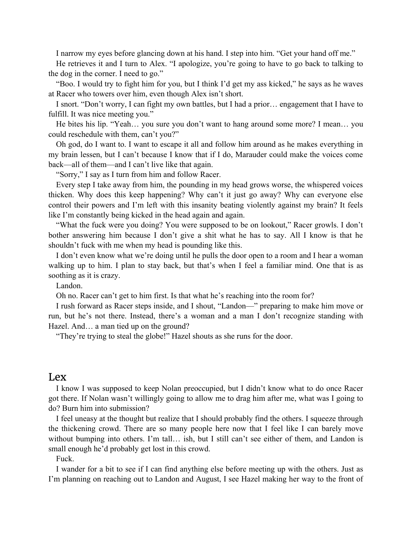I narrow my eyes before glancing down at his hand. I step into him. "Get your hand off me."

He retrieves it and I turn to Alex. "I apologize, you're going to have to go back to talking to the dog in the corner. I need to go."

"Boo. I would try to fight him for you, but I think I'd get my ass kicked," he says as he waves at Racer who towers over him, even though Alex isn't short.

I snort. "Don't worry, I can fight my own battles, but I had a prior… engagement that I have to fulfill. It was nice meeting you."

He bites his lip. "Yeah… you sure you don't want to hang around some more? I mean… you could reschedule with them, can't you?"

Oh god, do I want to. I want to escape it all and follow him around as he makes everything in my brain lessen, but I can't because I know that if I do, Marauder could make the voices come back—all of them—and I can't live like that again.

"Sorry," I say as I turn from him and follow Racer.

Every step I take away from him, the pounding in my head grows worse, the whispered voices thicken. Why does this keep happening? Why can't it just go away? Why can everyone else control their powers and I'm left with this insanity beating violently against my brain? It feels like I'm constantly being kicked in the head again and again.

"What the fuck were you doing? You were supposed to be on lookout," Racer growls. I don't bother answering him because I don't give a shit what he has to say. All I know is that he shouldn't fuck with me when my head is pounding like this.

I don't even know what we're doing until he pulls the door open to a room and I hear a woman walking up to him. I plan to stay back, but that's when I feel a familiar mind. One that is as soothing as it is crazy.

Landon.

Oh no. Racer can't get to him first. Is that what he's reaching into the room for?

I rush forward as Racer steps inside, and I shout, "Landon—" preparing to make him move or run, but he's not there. Instead, there's a woman and a man I don't recognize standing with Hazel. And… a man tied up on the ground?

"They're trying to steal the globe!" Hazel shouts as she runs for the door.

## Lex

I know I was supposed to keep Nolan preoccupied, but I didn't know what to do once Racer got there. If Nolan wasn't willingly going to allow me to drag him after me, what was I going to do? Burn him into submission?

I feel uneasy at the thought but realize that I should probably find the others. I squeeze through the thickening crowd. There are so many people here now that I feel like I can barely move without bumping into others. I'm tall... ish, but I still can't see either of them, and Landon is small enough he'd probably get lost in this crowd.

Fuck.

I wander for a bit to see if I can find anything else before meeting up with the others. Just as I'm planning on reaching out to Landon and August, I see Hazel making her way to the front of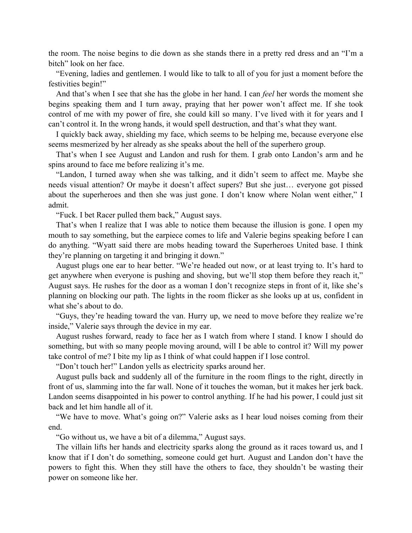the room. The noise begins to die down as she stands there in a pretty red dress and an "I'm a bitch" look on her face.

"Evening, ladies and gentlemen. I would like to talk to all of you for just a moment before the festivities begin!"

And that's when I see that she has the globe in her hand. I can *feel* her words the moment she begins speaking them and I turn away, praying that her power won't affect me. If she took control of me with my power of fire, she could kill so many. I've lived with it for years and I can't control it. In the wrong hands, it would spell destruction, and that's what they want.

I quickly back away, shielding my face, which seems to be helping me, because everyone else seems mesmerized by her already as she speaks about the hell of the superhero group.

That's when I see August and Landon and rush for them. I grab onto Landon's arm and he spins around to face me before realizing it's me.

"Landon, I turned away when she was talking, and it didn't seem to affect me. Maybe she needs visual attention? Or maybe it doesn't affect supers? But she just… everyone got pissed about the superheroes and then she was just gone. I don't know where Nolan went either," I admit.

"Fuck. I bet Racer pulled them back," August says.

That's when I realize that I was able to notice them because the illusion is gone. I open my mouth to say something, but the earpiece comes to life and Valerie begins speaking before I can do anything. "Wyatt said there are mobs heading toward the Superheroes United base. I think they're planning on targeting it and bringing it down."

August plugs one ear to hear better. "We're headed out now, or at least trying to. It's hard to get anywhere when everyone is pushing and shoving, but we'll stop them before they reach it," August says. He rushes for the door as a woman I don't recognize steps in front of it, like she's planning on blocking our path. The lights in the room flicker as she looks up at us, confident in what she's about to do.

"Guys, they're heading toward the van. Hurry up, we need to move before they realize we're inside," Valerie says through the device in my ear.

August rushes forward, ready to face her as I watch from where I stand. I know I should do something, but with so many people moving around, will I be able to control it? Will my power take control of me? I bite my lip as I think of what could happen if I lose control.

"Don't touch her!" Landon yells as electricity sparks around her.

August pulls back and suddenly all of the furniture in the room flings to the right, directly in front of us, slamming into the far wall. None of it touches the woman, but it makes her jerk back. Landon seems disappointed in his power to control anything. If he had his power, I could just sit back and let him handle all of it.

"We have to move. What's going on?" Valerie asks as I hear loud noises coming from their end.

"Go without us, we have a bit of a dilemma," August says.

The villain lifts her hands and electricity sparks along the ground as it races toward us, and I know that if I don't do something, someone could get hurt. August and Landon don't have the powers to fight this. When they still have the others to face, they shouldn't be wasting their power on someone like her.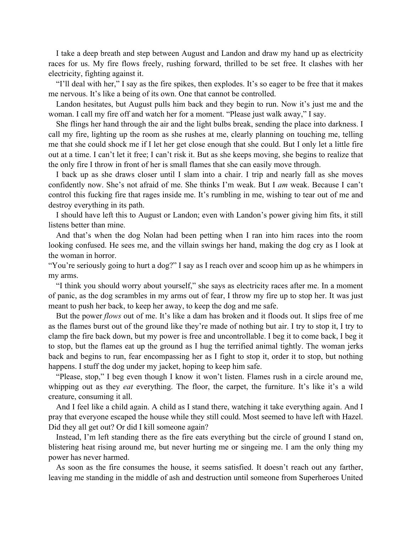I take a deep breath and step between August and Landon and draw my hand up as electricity races for us. My fire flows freely, rushing forward, thrilled to be set free. It clashes with her electricity, fighting against it.

"I'll deal with her," I say as the fire spikes, then explodes. It's so eager to be free that it makes me nervous. It's like a being of its own. One that cannot be controlled.

Landon hesitates, but August pulls him back and they begin to run. Now it's just me and the woman. I call my fire off and watch her for a moment. "Please just walk away," I say.

She flings her hand through the air and the light bulbs break, sending the place into darkness. I call my fire, lighting up the room as she rushes at me, clearly planning on touching me, telling me that she could shock me if I let her get close enough that she could. But I only let a little fire out at a time. I can't let it free; I can't risk it. But as she keeps moving, she begins to realize that the only fire I throw in front of her is small flames that she can easily move through.

I back up as she draws closer until I slam into a chair. I trip and nearly fall as she moves confidently now. She's not afraid of me. She thinks I'm weak. But I *am* weak. Because I can't control this fucking fire that rages inside me. It's rumbling in me, wishing to tear out of me and destroy everything in its path.

I should have left this to August or Landon; even with Landon's power giving him fits, it still listens better than mine.

And that's when the dog Nolan had been petting when I ran into him races into the room looking confused. He sees me, and the villain swings her hand, making the dog cry as I look at the woman in horror.

"You're seriously going to hurt a dog?" I say as I reach over and scoop him up as he whimpers in my arms.

"I think you should worry about yourself," she says as electricity races after me. In a moment of panic, as the dog scrambles in my arms out of fear, I throw my fire up to stop her. It was just meant to push her back, to keep her away, to keep the dog and me safe.

But the power *flows* out of me. It's like a dam has broken and it floods out. It slips free of me as the flames burst out of the ground like they're made of nothing but air. I try to stop it, I try to clamp the fire back down, but my power is free and uncontrollable. I beg it to come back, I beg it to stop, but the flames eat up the ground as I hug the terrified animal tightly. The woman jerks back and begins to run, fear encompassing her as I fight to stop it, order it to stop, but nothing happens. I stuff the dog under my jacket, hoping to keep him safe.

"Please, stop," I beg even though I know it won't listen. Flames rush in a circle around me, whipping out as they *eat* everything. The floor, the carpet, the furniture. It's like it's a wild creature, consuming it all.

And I feel like a child again. A child as I stand there, watching it take everything again. And I pray that everyone escaped the house while they still could. Most seemed to have left with Hazel. Did they all get out? Or did I kill someone again?

Instead, I'm left standing there as the fire eats everything but the circle of ground I stand on, blistering heat rising around me, but never hurting me or singeing me. I am the only thing my power has never harmed.

As soon as the fire consumes the house, it seems satisfied. It doesn't reach out any farther, leaving me standing in the middle of ash and destruction until someone from Superheroes United